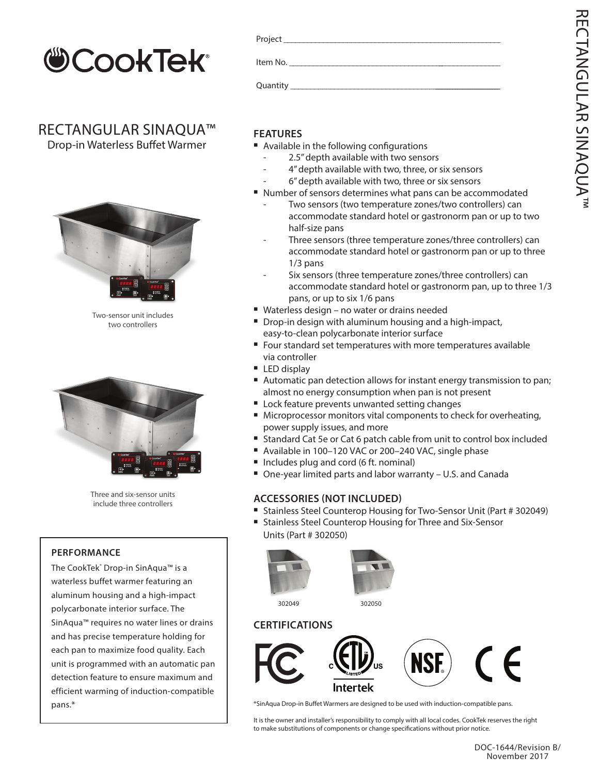

### RECTANGULAR SINAQUA™

Drop-in Waterless Buffet Warmer



Two-sensor unit includes two controllers



Three and six-sensor units include three controllers

#### **PERFORMANCE**

The CookTek<sup>®</sup> Drop-in SinAqua<sup>™</sup> is a waterless buffet warmer featuring an aluminum housing and a high-impact polycarbonate interior surface. The SinAqua™ requires no water lines or drains and has precise temperature holding for each pan to maximize food quality. Each unit is programmed with an automatic pan detection feature to ensure maximum and efficient warming of induction-compatible pans.\*

#### **FEATURES**

- Available in the following configurations
	- 2.5" depth available with two sensors
	- 4" depth available with two, three, or six sensors
	- 6" depth available with two, three or six sensors
- <sup>n</sup> Number of sensors determines what pans can be accommodated
	- Two sensors (two temperature zones/two controllers) can accommodate standard hotel or gastronorm pan or up to two half-size pans
	- Three sensors (three temperature zones/three controllers) can accommodate standard hotel or gastronorm pan or up to three 1/3 pans
	- Six sensors (three temperature zones/three controllers) can accommodate standard hotel or gastronorm pan, up to three 1/3 pans, or up to six 1/6 pans
- Waterless design no water or drains needed
- Drop-in design with aluminum housing and a high-impact, easy-to-clean polycarbonate interior surface
- Four standard set temperatures with more temperatures available via controller
- $\blacksquare$  LED display
- Automatic pan detection allows for instant energy transmission to pan; almost no energy consumption when pan is not present
- Lock feature prevents unwanted setting changes
- Microprocessor monitors vital components to check for overheating, power supply issues, and more
- Standard Cat 5e or Cat 6 patch cable from unit to control box included
	- Available in 100-120 VAC or 200-240 VAC, single phase
- Includes plug and cord (6 ft. nominal)
- One-year limited parts and labor warranty U.S. and Canada

#### **ACCESSORIES (NOT INCLUDED)**

- Stainless Steel Counterop Housing for Two-Sensor Unit (Part # 302049)
- Stainless Steel Counterop Housing for Three and Six-Sensor Units (Part # 302050)



#### **CERTIFICATIONS**



\*SinAqua Drop-in Buffet Warmers are designed to be used with induction-compatible pans.

It is the owner and installer's responsibility to comply with all local codes. CookTek reserves the right to make substitutions of components or change specifications without prior notice.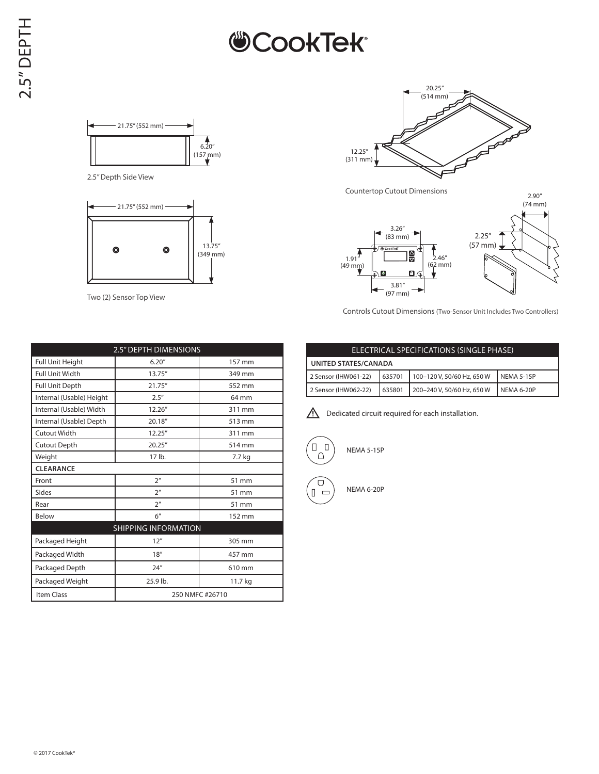### **CookTek®**



2.5" Depth Side View



Two (2) Sensor Top View



Countertop Cutout Dimensions



Controls Cutout Dimensions (Two-Sensor Unit Includes Two Controllers)

| <b>2.5" DEPTH DIMENSIONS</b> |                 |         |  |  |  |  |  |
|------------------------------|-----------------|---------|--|--|--|--|--|
| <b>Full Unit Height</b>      | 6.20''          | 157 mm  |  |  |  |  |  |
| <b>Full Unit Width</b>       | 13.75"          | 349 mm  |  |  |  |  |  |
| <b>Full Unit Depth</b>       | 21.75"          | 552 mm  |  |  |  |  |  |
| Internal (Usable) Height     | 2.5''           | 64 mm   |  |  |  |  |  |
| Internal (Usable) Width      | 12.26"          | 311 mm  |  |  |  |  |  |
| Internal (Usable) Depth      | 20.18"          | 513 mm  |  |  |  |  |  |
| Cutout Width                 | 12.25"          | 311 mm  |  |  |  |  |  |
| <b>Cutout Depth</b>          | 20.25''         | 514 mm  |  |  |  |  |  |
| Weight                       | 17 lb.          | 7.7 kg  |  |  |  |  |  |
| <b>CLEARANCE</b>             |                 |         |  |  |  |  |  |
| Front                        | 2 <sup>n</sup>  | 51 mm   |  |  |  |  |  |
| Sides                        | 2 <sup>n</sup>  | 51 mm   |  |  |  |  |  |
| Rear                         | 2 <sup>n</sup>  | 51 mm   |  |  |  |  |  |
| Below                        | 6''             | 152 mm  |  |  |  |  |  |
| <b>SHIPPING INFORMATION</b>  |                 |         |  |  |  |  |  |
| Packaged Height              | 12"             | 305 mm  |  |  |  |  |  |
| Packaged Width               | 18''            | 457 mm  |  |  |  |  |  |
| Packaged Depth               | 24''            | 610 mm  |  |  |  |  |  |
| Packaged Weight              | 25.9 lb.        | 11.7 kg |  |  |  |  |  |
| Item Class                   | 250 NMFC #26710 |         |  |  |  |  |  |

#### ELECTRICAL SPECIFICATIONS (SINGLE PHASE) **UNITED STATES/CANADA** 2 Sensor (IHW061-22) 635701 100-120 V, 50/60 Hz, 650 W NEMA 5-15P 2 Sensor (IHW062-22) 635801 200-240 V, 50/60 Hz, 650 W NEMA 6-20P

 $\bigwedge$  Dedicated circuit required for each installation.



 $\Box$  $\Box$  $\equiv$ 

NEMA 6-20P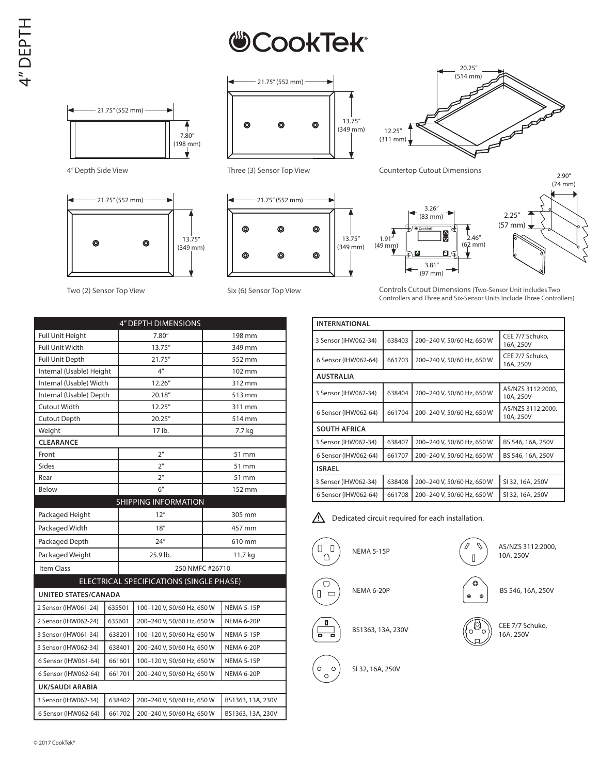# **CookTek**®





Two (2) Sensor Top View



Three (3) Sensor Top View



Six (6) Sensor Top View



4" Depth Side View Countertop Cutout Dimensions



2.90"

Controls Cutout Dimensions (Two-Sensor Unit Includes Two Controllers and Three and Six-Sensor Units Include Three Controllers)

| <b>INTERNATIONAL</b> |        |                            |                                |  |  |  |
|----------------------|--------|----------------------------|--------------------------------|--|--|--|
| 3 Sensor (IHW062-34) | 638403 | 200-240 V, 50/60 Hz, 650 W | CEE 7/7 Schuko,<br>16A, 250V   |  |  |  |
| 6 Sensor (IHW062-64) | 661703 | 200-240 V, 50/60 Hz, 650 W | CEE 7/7 Schuko,<br>16A, 250V   |  |  |  |
| <b>AUSTRALIA</b>     |        |                            |                                |  |  |  |
| 3 Sensor (IHW062-34) | 638404 | 200-240 V, 50/60 Hz, 650 W | AS/NZS 3112:2000,<br>10A, 250V |  |  |  |
| 6 Sensor (IHW062-64) | 661704 | 200-240 V, 50/60 Hz, 650 W | AS/NZS 3112:2000,<br>10A, 250V |  |  |  |
| <b>SOUTH AFRICA</b>  |        |                            |                                |  |  |  |
| 3 Sensor (IHW062-34) | 638407 | 200-240 V, 50/60 Hz, 650 W | BS 546, 16A, 250V              |  |  |  |
| 6 Sensor (IHW062-64) | 661707 | 200-240 V, 50/60 Hz, 650 W | BS 546, 16A, 250V              |  |  |  |
| <b>ISRAEL</b>        |        |                            |                                |  |  |  |
| 3 Sensor (IHW062-34) | 638408 | 200-240 V, 50/60 Hz, 650 W | SI 32, 16A, 250V               |  |  |  |
| 6 Sensor (IHW062-64) | 661708 | 200-240 V, 50/60 Hz, 650 W | SI 32, 16A, 250V               |  |  |  |

ΛŃ, Dedicated circuit required for each installation.





BS 546, 16A, 250V

Û

 $\sqrt{ }$ 



SI 32, 16A, 250V

 $\circ$